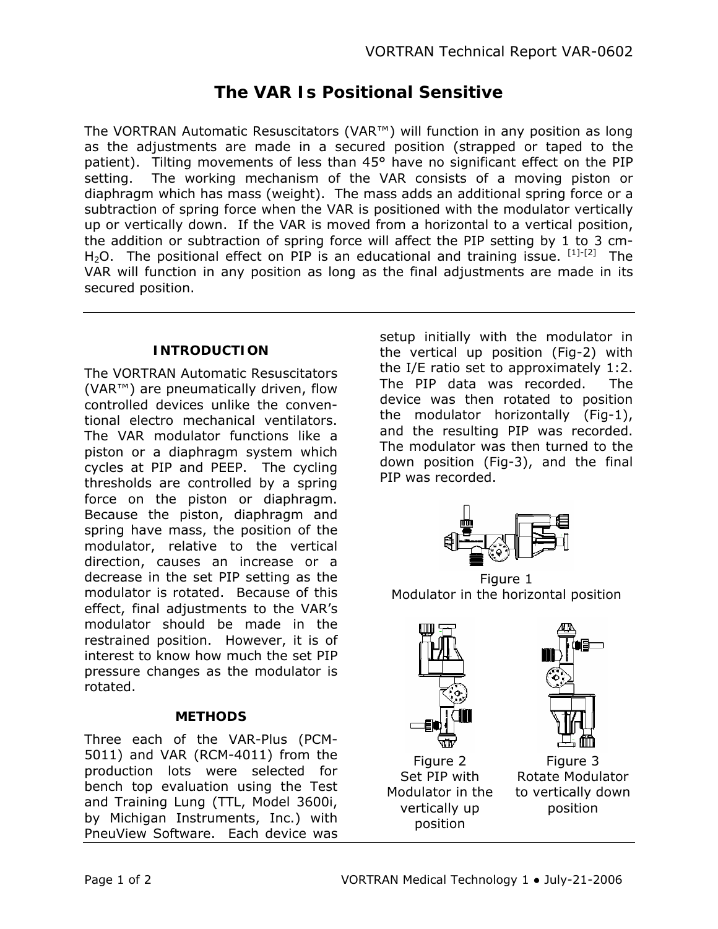# **The VAR Is Positional Sensitive**

The VORTRAN Automatic Resuscitators (VAR™) will function in any position as long as the adjustments are made in a secured position (strapped or taped to the patient). Tilting movements of less than 45° have no significant effect on the PIP setting. The working mechanism of the VAR consists of a moving piston or diaphragm which has mass (weight). The mass adds an additional spring force or a subtraction of spring force when the VAR is positioned with the modulator vertically up or vertically down. If the VAR is moved from a horizontal to a vertical position, the addition or subtraction of spring force will affect the PIP setting by 1 to 3 cm-H<sub>2</sub>O. The positional effect on PIP is an educational and training issue.  $^{[1]\text{-}[2]}$  The VAR will function in any position as long as the final adjustments are made in its secured position.

### **INTRODUCTION**

The VORTRAN Automatic Resuscitators (VAR™) are pneumatically driven, flow controlled devices unlike the conventional electro mechanical ventilators. The VAR modulator functions like a piston or a diaphragm system which cycles at PIP and PEEP. The cycling thresholds are controlled by a spring force on the piston or diaphragm. Because the piston, diaphragm and spring have mass, the position of the modulator, relative to the vertical direction, causes an increase or a decrease in the set PIP setting as the modulator is rotated. Because of this effect, final adjustments to the VAR's modulator should be made in the restrained position. However, it is of interest to know how much the set PIP pressure changes as the modulator is rotated.

#### **METHODS**

Three each of the VAR-Plus (PCM-5011) and VAR (RCM-4011) from the production lots were selected for bench top evaluation using the Test and Training Lung (TTL, Model 3600i, by Michigan Instruments, Inc.) with PneuView Software. Each device was

setup initially with the modulator in the vertical up position (Fig-2) with the I/E ratio set to approximately 1:2. The PIP data was recorded. The device was then rotated to position the modulator horizontally (Fig-1), and the resulting PIP was recorded. The modulator was then turned to the down position (Fig-3), and the final PIP was recorded.



Figure 1 Modulator in the horizontal position



Figure 2 Set PIP with Modulator in the vertically up position



Figure 3 Rotate Modulator to vertically down position